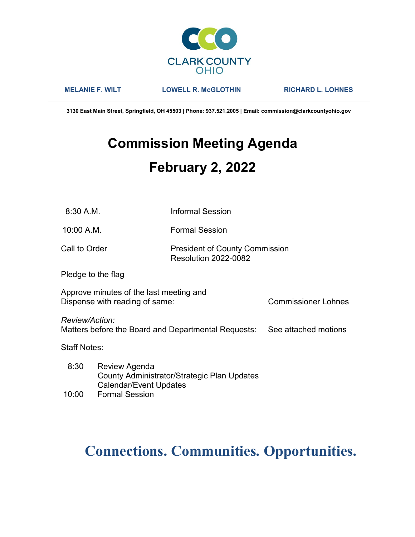

MELANIE F. WILT LOWELL R. McGLOTHIN RICHARD L. LOHNES

3130 East Main Street, Springfield, OH 45503 | Phone: 937.521.2005 | Email: commission@clarkcountyohio.gov

# Commission Meeting Agenda February 2, 2022

8:30 A.M. Informal Session

10:00 A.M. Formal Session

### Call to Order **President of County Commission** Resolution 2022-0082

Pledge to the flag

Approve minutes of the last meeting and Dispense with reading of same: Commissioner Lohnes

Review/Action:

Matters before the Board and Departmental Requests: See attached motions

Staff Notes:

 8:30 Review Agenda County Administrator/Strategic Plan Updates Calendar/Event Updates

## 10:00 Formal Session

# Connections. Communities. Opportunities.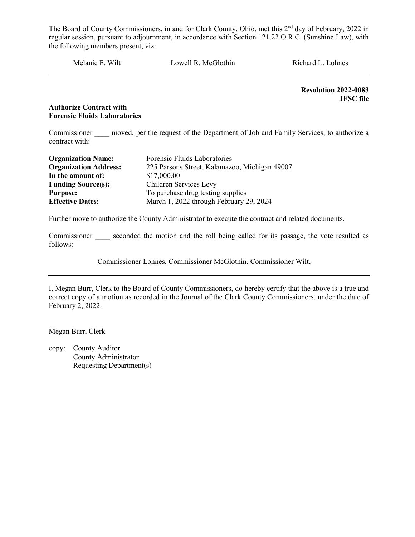Melanie F. Wilt Lowell R. McGlothin Richard L. Lohnes

Resolution 2022-0083 JFSC file

#### Authorize Contract with Forensic Fluids Laboratories

Commissioner moved, per the request of the Department of Job and Family Services, to authorize a contract with:

| <b>Organization Name:</b>    | Forensic Fluids Laboratories                  |
|------------------------------|-----------------------------------------------|
| <b>Organization Address:</b> | 225 Parsons Street, Kalamazoo, Michigan 49007 |
| In the amount of:            | \$17,000.00                                   |
| <b>Funding Source(s):</b>    | Children Services Levy                        |
| <b>Purpose:</b>              | To purchase drug testing supplies             |
| <b>Effective Dates:</b>      | March 1, 2022 through February 29, 2024       |

Further move to authorize the County Administrator to execute the contract and related documents.

Commissioner seconded the motion and the roll being called for its passage, the vote resulted as follows:

Commissioner Lohnes, Commissioner McGlothin, Commissioner Wilt,

I, Megan Burr, Clerk to the Board of County Commissioners, do hereby certify that the above is a true and correct copy of a motion as recorded in the Journal of the Clark County Commissioners, under the date of February 2, 2022.

Megan Burr, Clerk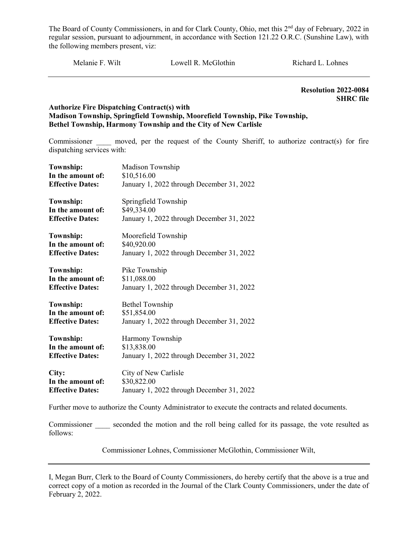Melanie F. Wilt **Lowell R. McGlothin** Richard L. Lohnes

 Resolution 2022-0084 SHRC file

#### Authorize Fire Dispatching Contract(s) with Madison Township, Springfield Township, Moorefield Township, Pike Township, Bethel Township, Harmony Township and the City of New Carlisle

Commissioner moved, per the request of the County Sheriff, to authorize contract(s) for fire dispatching services with:

| <b>Township:</b>        | Madison Township                          |  |  |  |
|-------------------------|-------------------------------------------|--|--|--|
| In the amount of:       | \$10,516.00                               |  |  |  |
| <b>Effective Dates:</b> | January 1, 2022 through December 31, 2022 |  |  |  |
| Township:               | Springfield Township                      |  |  |  |
| In the amount of:       | \$49,334.00                               |  |  |  |
| <b>Effective Dates:</b> | January 1, 2022 through December 31, 2022 |  |  |  |
| <b>Township:</b>        | Moorefield Township                       |  |  |  |
| In the amount of:       | \$40,920.00                               |  |  |  |
| <b>Effective Dates:</b> | January 1, 2022 through December 31, 2022 |  |  |  |
| Township:               | Pike Township                             |  |  |  |
| In the amount of:       | \$11,088.00                               |  |  |  |
| <b>Effective Dates:</b> | January 1, 2022 through December 31, 2022 |  |  |  |
| <b>Township:</b>        | <b>Bethel Township</b>                    |  |  |  |
| In the amount of:       | \$51,854.00                               |  |  |  |
| <b>Effective Dates:</b> | January 1, 2022 through December 31, 2022 |  |  |  |
| Township:               | Harmony Township                          |  |  |  |
| In the amount of:       | \$13,838.00                               |  |  |  |
| <b>Effective Dates:</b> | January 1, 2022 through December 31, 2022 |  |  |  |
| City:                   | City of New Carlisle                      |  |  |  |
| In the amount of:       | \$30,822.00                               |  |  |  |
| <b>Effective Dates:</b> | January 1, 2022 through December 31, 2022 |  |  |  |

Further move to authorize the County Administrator to execute the contracts and related documents.

Commissioner seconded the motion and the roll being called for its passage, the vote resulted as follows:

Commissioner Lohnes, Commissioner McGlothin, Commissioner Wilt,

I, Megan Burr, Clerk to the Board of County Commissioners, do hereby certify that the above is a true and correct copy of a motion as recorded in the Journal of the Clark County Commissioners, under the date of February 2, 2022.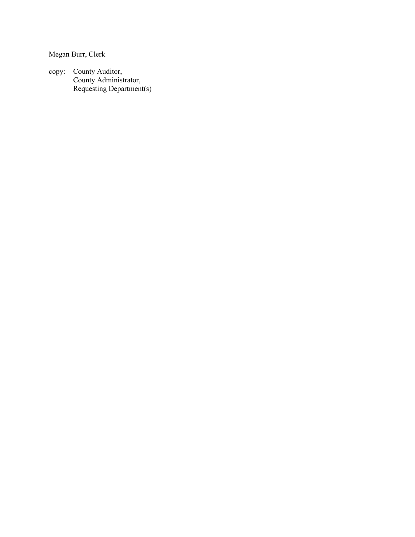Megan Burr, Clerk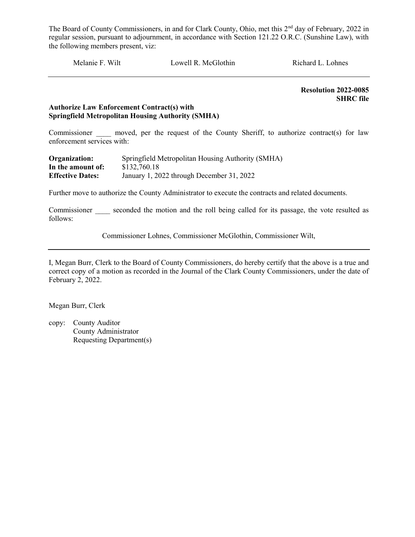Melanie F. Wilt Lowell R. McGlothin Richard L. Lohnes

 Resolution 2022-0085 SHRC file

#### Authorize Law Enforcement Contract(s) with Springfield Metropolitan Housing Authority (SMHA)

Commissioner moved, per the request of the County Sheriff, to authorize contract(s) for law enforcement services with:

| Organization:           | Springfield Metropolitan Housing Authority (SMHA) |
|-------------------------|---------------------------------------------------|
| In the amount of:       | \$132,760.18                                      |
| <b>Effective Dates:</b> | January 1, 2022 through December 31, 2022         |

Further move to authorize the County Administrator to execute the contracts and related documents.

Commissioner seconded the motion and the roll being called for its passage, the vote resulted as follows:

Commissioner Lohnes, Commissioner McGlothin, Commissioner Wilt,

I, Megan Burr, Clerk to the Board of County Commissioners, do hereby certify that the above is a true and correct copy of a motion as recorded in the Journal of the Clark County Commissioners, under the date of February 2, 2022.

Megan Burr, Clerk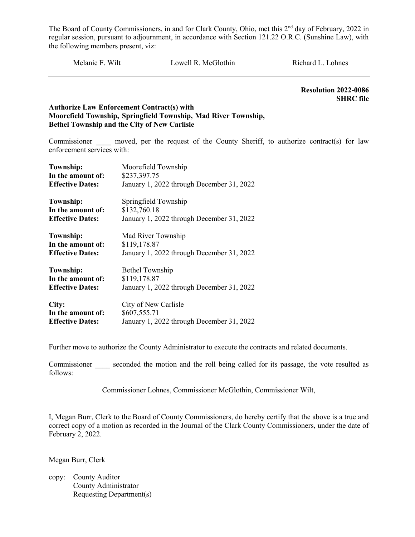Melanie F. Wilt **Lowell R. McGlothin** Richard L. Lohnes

 Resolution 2022-0086 SHRC file

#### Authorize Law Enforcement Contract(s) with Moorefield Township, Springfield Township, Mad River Township, Bethel Township and the City of New Carlisle

Commissioner moved, per the request of the County Sheriff, to authorize contract(s) for law enforcement services with:

| <b>Township:</b>        | Moorefield Township                       |
|-------------------------|-------------------------------------------|
| In the amount of:       | \$237,397.75                              |
| <b>Effective Dates:</b> | January 1, 2022 through December 31, 2022 |
| <b>Township:</b>        | Springfield Township                      |
| In the amount of:       | \$132,760.18                              |
| <b>Effective Dates:</b> | January 1, 2022 through December 31, 2022 |
| <b>Township:</b>        | Mad River Township                        |
| In the amount of:       | \$119,178.87                              |
| <b>Effective Dates:</b> | January 1, 2022 through December 31, 2022 |
| <b>Township:</b>        | <b>Bethel Township</b>                    |
| In the amount of:       | \$119,178.87                              |
| <b>Effective Dates:</b> | January 1, 2022 through December 31, 2022 |
| City:                   | City of New Carlisle                      |
| In the amount of:       | \$607,555.71                              |
| <b>Effective Dates:</b> | January 1, 2022 through December 31, 2022 |

Further move to authorize the County Administrator to execute the contracts and related documents.

Commissioner seconded the motion and the roll being called for its passage, the vote resulted as follows:

Commissioner Lohnes, Commissioner McGlothin, Commissioner Wilt,

I, Megan Burr, Clerk to the Board of County Commissioners, do hereby certify that the above is a true and correct copy of a motion as recorded in the Journal of the Clark County Commissioners, under the date of February 2, 2022.

Megan Burr, Clerk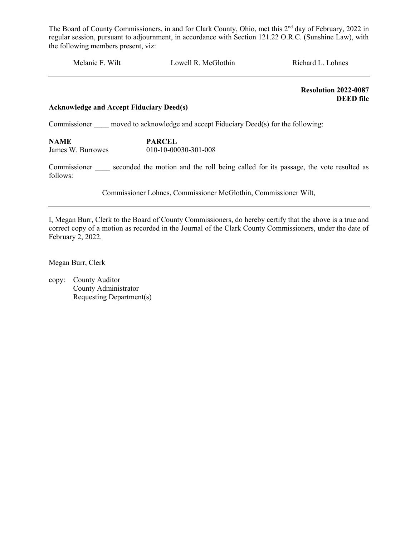| Melanie F. Wilt | Lowell R. McGlothin | Richard L. Lohnes |
|-----------------|---------------------|-------------------|
|                 |                     |                   |

 Resolution 2022-0087 DEED file

#### Acknowledge and Accept Fiduciary Deed(s)

Commissioner \_\_\_\_\_ moved to acknowledge and accept Fiduciary Deed(s) for the following:

NAME PARCEL James W. Burrowes 010-10-00030-301-008

Commissioner seconded the motion and the roll being called for its passage, the vote resulted as follows:

Commissioner Lohnes, Commissioner McGlothin, Commissioner Wilt,

I, Megan Burr, Clerk to the Board of County Commissioners, do hereby certify that the above is a true and correct copy of a motion as recorded in the Journal of the Clark County Commissioners, under the date of February 2, 2022.

Megan Burr, Clerk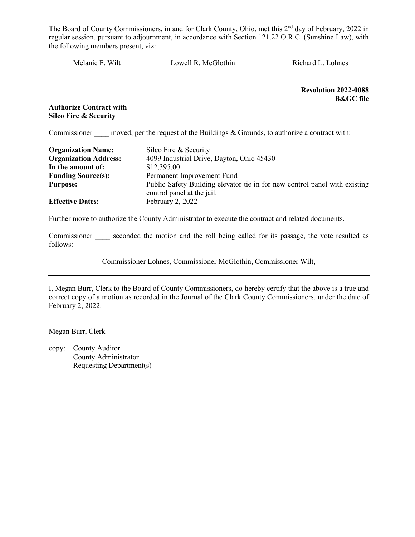| Melanie F. Wilt                                                    | Lowell R. McGlothin                                                                                      | Richard L. Lohnes           |
|--------------------------------------------------------------------|----------------------------------------------------------------------------------------------------------|-----------------------------|
|                                                                    |                                                                                                          | <b>Resolution 2022-0088</b> |
| <b>Authorize Contract with</b><br><b>Silco Fire &amp; Security</b> |                                                                                                          | <b>B&amp;GC</b> file        |
|                                                                    | Commissioner moved, per the request of the Buildings $&$ Grounds, to authorize a contract with:          |                             |
| <b>Organization Name:</b>                                          | Silco Fire & Security                                                                                    |                             |
| <b>Organization Address:</b>                                       | 4099 Industrial Drive, Dayton, Ohio 45430                                                                |                             |
| In the amount of:                                                  | \$12,395.00                                                                                              |                             |
| <b>Funding Source(s):</b>                                          | Permanent Improvement Fund                                                                               |                             |
| <b>Purpose:</b>                                                    | Public Safety Building elevator tie in for new control panel with existing<br>control panel at the jail. |                             |

**Effective Dates:** February 2, 2022

Further move to authorize the County Administrator to execute the contract and related documents.

Commissioner seconded the motion and the roll being called for its passage, the vote resulted as follows:

Commissioner Lohnes, Commissioner McGlothin, Commissioner Wilt,

I, Megan Burr, Clerk to the Board of County Commissioners, do hereby certify that the above is a true and correct copy of a motion as recorded in the Journal of the Clark County Commissioners, under the date of February 2, 2022.

Megan Burr, Clerk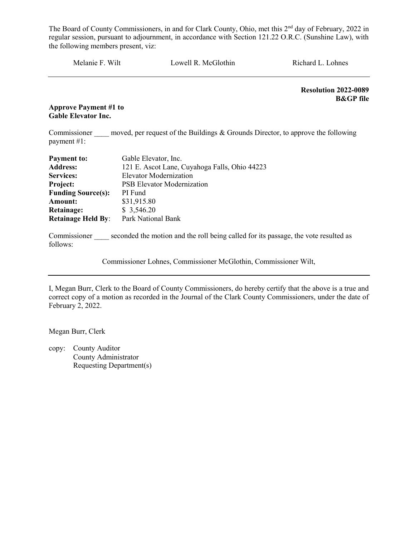Melanie F. Wilt Lowell R. McGlothin Richard L. Lohnes

 Resolution 2022-0089 B&GP file

#### Approve Payment #1 to Gable Elevator Inc.

Commissioner moved, per request of the Buildings & Grounds Director, to approve the following payment #1:

| <b>Payment to:</b>        | Gable Elevator, Inc.                          |
|---------------------------|-----------------------------------------------|
| <b>Address:</b>           | 121 E. Ascot Lane, Cuyahoga Falls, Ohio 44223 |
| <b>Services:</b>          | <b>Elevator Modernization</b>                 |
| <b>Project:</b>           | <b>PSB Elevator Modernization</b>             |
| <b>Funding Source(s):</b> | PI Fund                                       |
| Amount:                   | \$31,915.80                                   |
| Retainage:                | \$3,546.20                                    |
| <b>Retainage Held By:</b> | Park National Bank                            |

Commissioner seconded the motion and the roll being called for its passage, the vote resulted as follows:

Commissioner Lohnes, Commissioner McGlothin, Commissioner Wilt,

I, Megan Burr, Clerk to the Board of County Commissioners, do hereby certify that the above is a true and correct copy of a motion as recorded in the Journal of the Clark County Commissioners, under the date of February 2, 2022.

Megan Burr, Clerk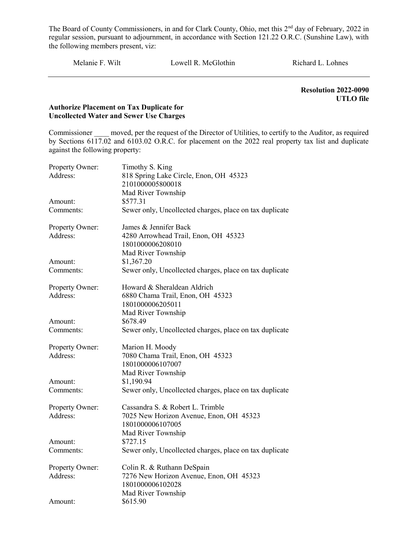Melanie F. Wilt Lowell R. McGlothin Richard L. Lohnes

 Resolution 2022-0090 UTLO file

#### Authorize Placement on Tax Duplicate for Uncollected Water and Sewer Use Charges

Commissioner moved, per the request of the Director of Utilities, to certify to the Auditor, as required by Sections 6117.02 and 6103.02 O.R.C. for placement on the 2022 real property tax list and duplicate against the following property:

| Property Owner: | Timothy S. King                                             |
|-----------------|-------------------------------------------------------------|
| Address:        | 818 Spring Lake Circle, Enon, OH 45323                      |
|                 | 2101000005800018                                            |
|                 | Mad River Township                                          |
| Amount:         | \$577.31                                                    |
| Comments:       | Sewer only, Uncollected charges, place on tax duplicate     |
| Property Owner: | James & Jennifer Back                                       |
| Address:        | 4280 Arrowhead Trail, Enon, OH 45323<br>1801000006208010    |
|                 | Mad River Township                                          |
| Amount:         | \$1,367.20                                                  |
| Comments:       | Sewer only, Uncollected charges, place on tax duplicate     |
| Property Owner: | Howard & Sheraldean Aldrich                                 |
| Address:        | 6880 Chama Trail, Enon, OH 45323                            |
|                 | 1801000006205011                                            |
|                 | Mad River Township                                          |
| Amount:         | \$678.49                                                    |
| Comments:       | Sewer only, Uncollected charges, place on tax duplicate     |
| Property Owner: | Marion H. Moody                                             |
| Address:        | 7080 Chama Trail, Enon, OH 45323                            |
|                 | 1801000006107007                                            |
|                 | Mad River Township                                          |
| Amount:         | \$1,190.94                                                  |
| Comments:       | Sewer only, Uncollected charges, place on tax duplicate     |
| Property Owner: | Cassandra S. & Robert L. Trimble                            |
| Address:        | 7025 New Horizon Avenue, Enon, OH 45323<br>1801000006107005 |
|                 | Mad River Township                                          |
| Amount:         | \$727.15                                                    |
| Comments:       | Sewer only, Uncollected charges, place on tax duplicate     |
|                 |                                                             |
| Property Owner: | Colin R. & Ruthann DeSpain                                  |
| Address:        | 7276 New Horizon Avenue, Enon, OH 45323                     |
|                 | 1801000006102028                                            |
|                 | Mad River Township                                          |
| Amount:         | \$615.90                                                    |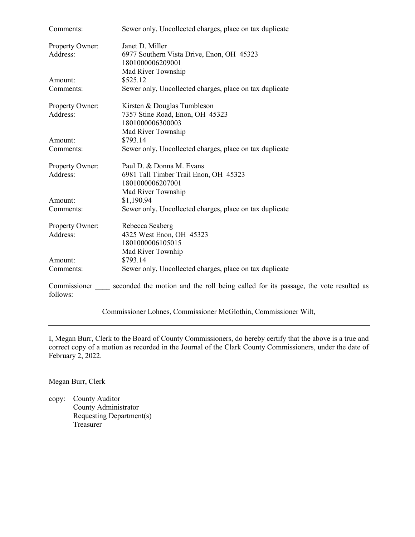| Comments:       | Sewer only, Uncollected charges, place on tax duplicate                             |
|-----------------|-------------------------------------------------------------------------------------|
| Property Owner: | Janet D. Miller                                                                     |
| Address:        | 6977 Southern Vista Drive, Enon, OH 45323                                           |
|                 | 1801000006209001                                                                    |
|                 | Mad River Township                                                                  |
| Amount:         | \$525.12                                                                            |
| Comments:       | Sewer only, Uncollected charges, place on tax duplicate                             |
| Property Owner: | Kirsten & Douglas Tumbleson                                                         |
| Address:        | 7357 Stine Road, Enon, OH 45323                                                     |
|                 | 1801000006300003                                                                    |
|                 | Mad River Township                                                                  |
| Amount:         | \$793.14                                                                            |
| Comments:       | Sewer only, Uncollected charges, place on tax duplicate                             |
| Property Owner: | Paul D. & Donna M. Evans                                                            |
| Address:        | 6981 Tall Timber Trail Enon, OH 45323                                               |
|                 | 1801000006207001                                                                    |
|                 | Mad River Township                                                                  |
| Amount:         | \$1,190.94                                                                          |
| Comments:       | Sewer only, Uncollected charges, place on tax duplicate                             |
| Property Owner: | Rebecca Seaberg                                                                     |
| Address:        | 4325 West Enon, OH 45323                                                            |
|                 | 1801000006105015                                                                    |
|                 | Mad River Townhip                                                                   |
| Amount:         | \$793.14                                                                            |
| Comments:       | Sewer only, Uncollected charges, place on tax duplicate                             |
| Commissioner    | seconded the motion and the roll being called for its passage, the vote resulted as |
| follows:        |                                                                                     |

Commissioner Lohnes, Commissioner McGlothin, Commissioner Wilt,

I, Megan Burr, Clerk to the Board of County Commissioners, do hereby certify that the above is a true and correct copy of a motion as recorded in the Journal of the Clark County Commissioners, under the date of February 2, 2022.

Megan Burr, Clerk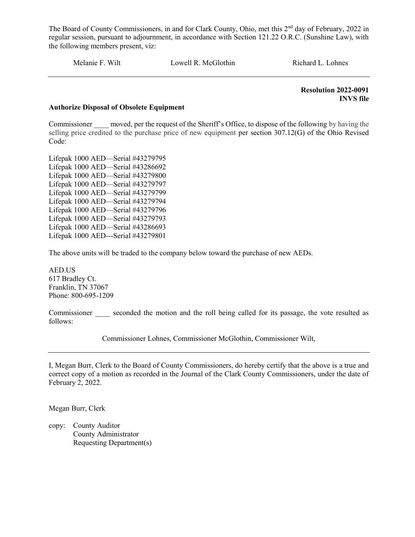Melanie F. Wilt Lowell R. McGlothin Richard L. Lohnes

 Resolution 2022-0091 INVS file

#### Authorize Disposal of Obsolete Equipment

Commissioner moved, per the request of the Sheriff's Office, to dispose of the following by having the selling price credited to the purchase price of new equipment per section 307.12(G) of the Ohio Revised Code:

Lifepak 1000 AED—Serial #43279795 Lifepak 1000 AED—Serial #43286692 Lifepak 1000 AED—Serial #43279800 Lifepak 1000 AED—Serial #43279797 Lifepak 1000 AED—Serial #43279799 Lifepak 1000 AED—Serial #43279794 Lifepak 1000 AED—Serial #43279796 Lifepak 1000 AED—Serial #43279793 Lifepak 1000 AED—Serial #43286693 Lifepak 1000 AED---Serial #43279801

The above units will be traded to the company below toward the purchase of new AEDs.

AED.US 617 Bradley Ct. Franklin, TN 37067 Phone: 800-695-1209

Commissioner seconded the motion and the roll being called for its passage, the vote resulted as follows:

Commissioner Lohnes, Commissioner McGlothin, Commissioner Wilt,

I, Megan Burr, Clerk to the Board of County Commissioners, do hereby certify that the above is a true and correct copy of a motion as recorded in the Journal of the Clark County Commissioners, under the date of February 2, 2022.

Megan Burr, Clerk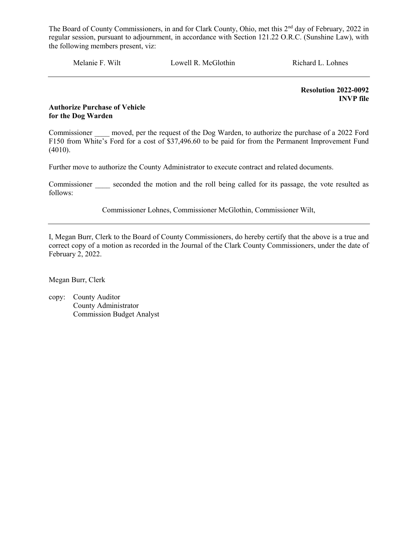Melanie F. Wilt Lowell R. McGlothin Richard L. Lohnes

 Resolution 2022-0092 INVP file

#### Authorize Purchase of Vehicle for the Dog Warden

Commissioner moved, per the request of the Dog Warden, to authorize the purchase of a 2022 Ford F150 from White's Ford for a cost of \$37,496.60 to be paid for from the Permanent Improvement Fund (4010).

Further move to authorize the County Administrator to execute contract and related documents.

Commissioner seconded the motion and the roll being called for its passage, the vote resulted as follows:

Commissioner Lohnes, Commissioner McGlothin, Commissioner Wilt,

I, Megan Burr, Clerk to the Board of County Commissioners, do hereby certify that the above is a true and correct copy of a motion as recorded in the Journal of the Clark County Commissioners, under the date of February 2, 2022.

Megan Burr, Clerk

copy: County Auditor County Administrator Commission Budget Analyst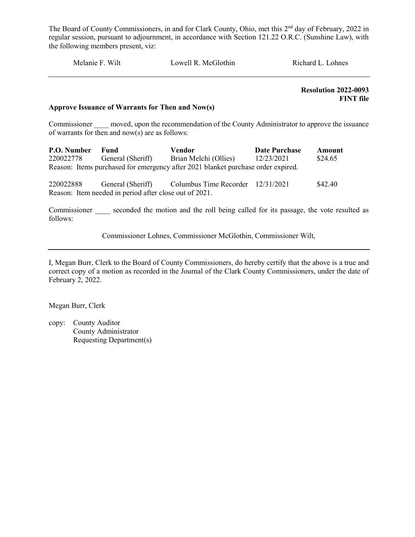| Lowell R. McGlothin<br>Melanie F. Wilt<br>Richard L. Lohnes |  |
|-------------------------------------------------------------|--|
|-------------------------------------------------------------|--|

 Resolution 2022-0093 FINT file

#### Approve Issuance of Warrants for Then and Now(s)

Commissioner moved, upon the recommendation of the County Administrator to approve the issuance of warrants for then and now(s) are as follows:

| P.O. Number | Fund              | Vendor                                                                           | <b>Date Purchase</b> | Amount  |
|-------------|-------------------|----------------------------------------------------------------------------------|----------------------|---------|
| 220022778   | General (Sheriff) | Brian Melchi (Ollies)                                                            | 12/23/2021           | \$24.65 |
|             |                   | Reason: Items purchased for emergency after 2021 blanket purchase order expired. |                      |         |

220022888 General (Sheriff) Columbus Time Recorder 12/31/2021 \$42.40 Reason: Item needed in period after close out of 2021.

Commissioner seconded the motion and the roll being called for its passage, the vote resulted as follows:

Commissioner Lohnes, Commissioner McGlothin, Commissioner Wilt,

I, Megan Burr, Clerk to the Board of County Commissioners, do hereby certify that the above is a true and correct copy of a motion as recorded in the Journal of the Clark County Commissioners, under the date of February 2, 2022.

Megan Burr, Clerk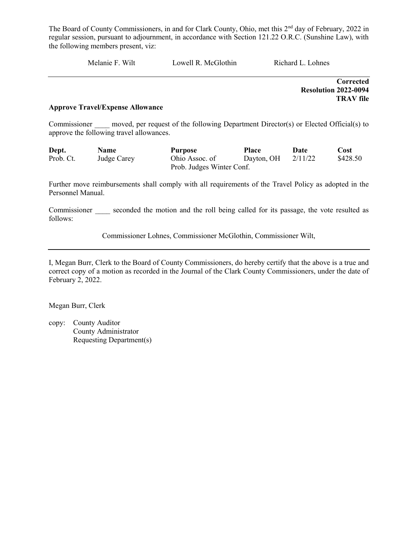Melanie F. Wilt Lowell R. McGlothin Richard L. Lohnes

**Corrected**  Resolution 2022-0094 TRAV file

#### Approve Travel/Expense Allowance

Commissioner moved, per request of the following Department Director(s) or Elected Official(s) to approve the following travel allowances.

| Dept.     | <b>Name</b> | <b>Purpose</b>            | Place      | Date    | Cost     |
|-----------|-------------|---------------------------|------------|---------|----------|
| Prob. Ct. | Judge Carey | Ohio Assoc. of            | Davton, OH | 2/11/22 | \$428.50 |
|           |             | Prob. Judges Winter Conf. |            |         |          |

Further move reimbursements shall comply with all requirements of the Travel Policy as adopted in the Personnel Manual.

Commissioner seconded the motion and the roll being called for its passage, the vote resulted as follows:

Commissioner Lohnes, Commissioner McGlothin, Commissioner Wilt,

I, Megan Burr, Clerk to the Board of County Commissioners, do hereby certify that the above is a true and correct copy of a motion as recorded in the Journal of the Clark County Commissioners, under the date of February 2, 2022.

Megan Burr, Clerk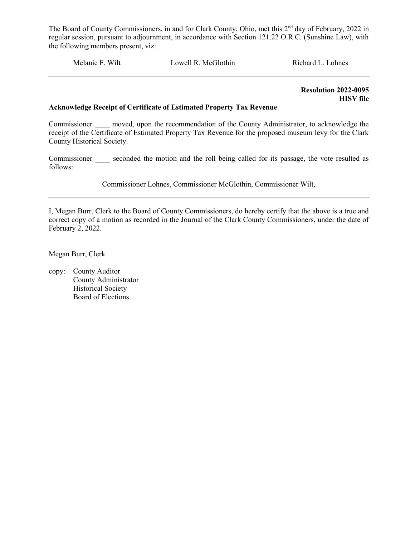Melanie F. Wilt Lowell R. McGlothin Richard L. Lohnes

Resolution 2022-0095 HISV file

#### Acknowledge Receipt of Certificate of Estimated Property Tax Revenue

Commissioner moved, upon the recommendation of the County Administrator, to acknowledge the receipt of the Certificate of Estimated Property Tax Revenue for the proposed museum levy for the Clark County Historical Society.

Commissioner seconded the motion and the roll being called for its passage, the vote resulted as follows:

Commissioner Lohnes, Commissioner McGlothin, Commissioner Wilt,

I, Megan Burr, Clerk to the Board of County Commissioners, do hereby certify that the above is a true and correct copy of a motion as recorded in the Journal of the Clark County Commissioners, under the date of February 2, 2022.

Megan Burr, Clerk

copy: County Auditor County Administrator Historical Society Board of Elections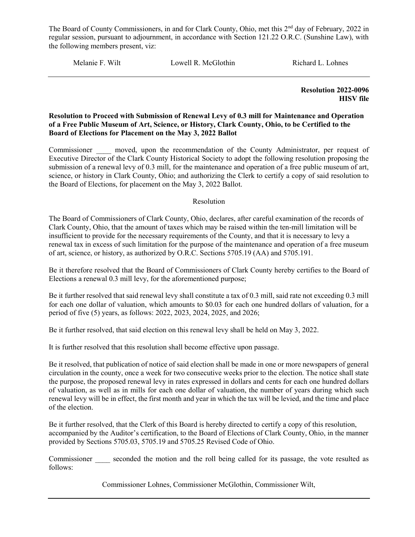Melanie F. Wilt **Lowell R. McGlothin** Richard L. Lohnes

Resolution 2022-0096 HISV file

#### Resolution to Proceed with Submission of Renewal Levy of 0.3 mill for Maintenance and Operation of a Free Public Museum of Art, Science, or History, Clark County, Ohio, to be Certified to the Board of Elections for Placement on the May 3, 2022 Ballot

Commissioner and moved, upon the recommendation of the County Administrator, per request of Executive Director of the Clark County Historical Society to adopt the following resolution proposing the submission of a renewal levy of 0.3 mill, for the maintenance and operation of a free public museum of art, science, or history in Clark County, Ohio; and authorizing the Clerk to certify a copy of said resolution to the Board of Elections, for placement on the May 3, 2022 Ballot.

#### Resolution

The Board of Commissioners of Clark County, Ohio, declares, after careful examination of the records of Clark County, Ohio, that the amount of taxes which may be raised within the ten-mill limitation will be insufficient to provide for the necessary requirements of the County, and that it is necessary to levy a renewal tax in excess of such limitation for the purpose of the maintenance and operation of a free museum of art, science, or history, as authorized by O.R.C. Sections 5705.19 (AA) and 5705.191.

Be it therefore resolved that the Board of Commissioners of Clark County hereby certifies to the Board of Elections a renewal 0.3 mill levy, for the aforementioned purpose;

Be it further resolved that said renewal levy shall constitute a tax of 0.3 mill, said rate not exceeding 0.3 mill for each one dollar of valuation, which amounts to \$0.03 for each one hundred dollars of valuation, for a period of five (5) years, as follows: 2022, 2023, 2024, 2025, and 2026;

Be it further resolved, that said election on this renewal levy shall be held on May 3, 2022.

It is further resolved that this resolution shall become effective upon passage.

Be it resolved, that publication of notice of said election shall be made in one or more newspapers of general circulation in the county, once a week for two consecutive weeks prior to the election. The notice shall state the purpose, the proposed renewal levy in rates expressed in dollars and cents for each one hundred dollars of valuation, as well as in mills for each one dollar of valuation, the number of years during which such renewal levy will be in effect, the first month and year in which the tax will be levied, and the time and place of the election.

Be it further resolved, that the Clerk of this Board is hereby directed to certify a copy of this resolution, accompanied by the Auditor's certification, to the Board of Elections of Clark County, Ohio, in the manner provided by Sections 5705.03, 5705.19 and 5705.25 Revised Code of Ohio.

Commissioner seconded the motion and the roll being called for its passage, the vote resulted as follows:

Commissioner Lohnes, Commissioner McGlothin, Commissioner Wilt,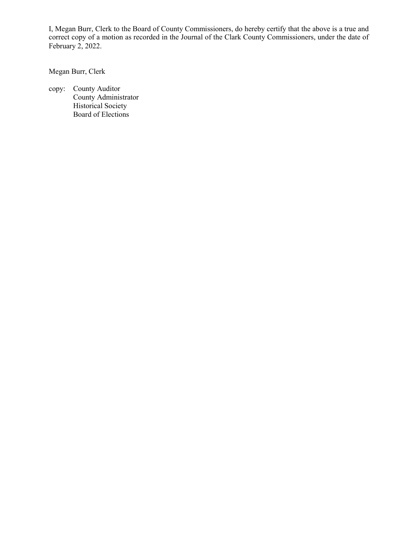I, Megan Burr, Clerk to the Board of County Commissioners, do hereby certify that the above is a true and correct copy of a motion as recorded in the Journal of the Clark County Commissioners, under the date of February 2, 2022.

Megan Burr, Clerk

copy: County Auditor County Administrator Historical Society Board of Elections